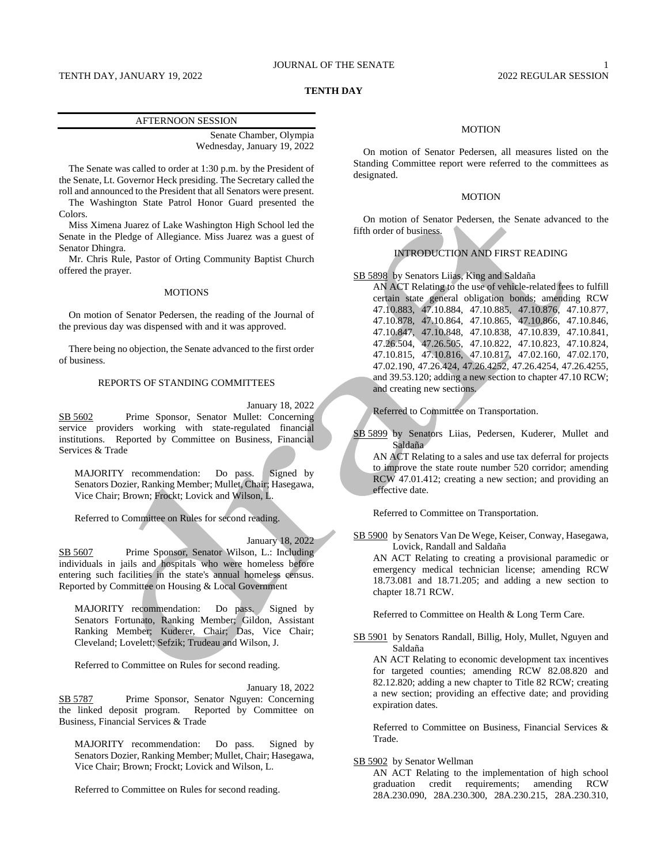#### TENTH DAY, JANUARY 19, 2022 2022 2022 2022 2022 REGULAR SESSION

# JOURNAL OF THE SENATE 1

# **TENTH DAY**

## AFTERNOON SESSION

Senate Chamber, Olympia Wednesday, January 19, 2022

The Senate was called to order at 1:30 p.m. by the President of the Senate, Lt. Governor Heck presiding. The Secretary called the roll and announced to the President that all Senators were present.

The Washington State Patrol Honor Guard presented the Colors.

Miss Ximena Juarez of Lake Washington High School led the Senate in the Pledge of Allegiance. Miss Juarez was a guest of Senator Dhingra.

Mr. Chris Rule, Pastor of Orting Community Baptist Church offered the prayer.

## MOTIONS

On motion of Senator Pedersen, the reading of the Journal of the previous day was dispensed with and it was approved.

There being no objection, the Senate advanced to the first order of business.

# REPORTS OF STANDING COMMITTEES

January 18, 2022

SB 5602 Prime Sponsor, Senator Mullet: Concerning service providers working with state-regulated financial institutions. Reported by Committee on Business, Financial Services & Trade

MAJORITY recommendation: Do pass. Signed by Senators Dozier, Ranking Member; Mullet, Chair; Hasegawa, Vice Chair; Brown; Frockt; Lovick and Wilson, L.

Referred to Committee on Rules for second reading.

January 18, 2022

SB 5607 Prime Sponsor, Senator Wilson, L.: Including individuals in jails and hospitals who were homeless before entering such facilities in the state's annual homeless census. Reported by Committee on Housing & Local Government

MAJORITY recommendation: Do pass. Signed by Senators Fortunato, Ranking Member; Gildon, Assistant Ranking Member; Kuderer, Chair; Das, Vice Chair; Cleveland; Lovelett; Sefzik; Trudeau and Wilson, J.

Referred to Committee on Rules for second reading.

January 18, 2022 SB 5787 Prime Sponsor, Senator Nguyen: Concerning the linked deposit program. Reported by Committee on Business, Financial Services & Trade

MAJORITY recommendation: Do pass. Signed by Senators Dozier, Ranking Member; Mullet, Chair; Hasegawa, Vice Chair; Brown; Frockt; Lovick and Wilson, L.

Referred to Committee on Rules for second reading.

#### MOTION

On motion of Senator Pedersen, all measures listed on the Standing Committee report were referred to the committees as designated.

### MOTION

On motion of Senator Pedersen, the Senate advanced to the fifth order of business.

# INTRODUCTION AND FIRST READING

SB 5898 by Senators Liias, King and Saldaña

AN ACT Relating to the use of vehicle-related fees to fulfill certain state general obligation bonds; amending RCW 47.10.883, 47.10.884, 47.10.885, 47.10.876, 47.10.877, 47.10.878, 47.10.864, 47.10.865, 47.10.866, 47.10.846, 47.10.847, 47.10.848, 47.10.838, 47.10.839, 47.10.841, 47.26.504, 47.26.505, 47.10.822, 47.10.823, 47.10.824, 47.10.815, 47.10.816, 47.10.817, 47.02.160, 47.02.170, 47.02.190, 47.26.424, 47.26.4252, 47.26.4254, 47.26.4255, and 39.53.120; adding a new section to chapter 47.10 RCW; and creating new sections.

Referred to Committee on Transportation.

SB 5899 by Senators Liias, Pedersen, Kuderer, Mullet and Saldaña

AN ACT Relating to a sales and use tax deferral for projects to improve the state route number 520 corridor; amending RCW 47.01.412; creating a new section; and providing an effective date.

Referred to Committee on Transportation.

SB 5900 by Senators Van De Wege, Keiser, Conway, Hasegawa, Lovick, Randall and Saldaña

AN ACT Relating to creating a provisional paramedic or emergency medical technician license; amending RCW 18.73.081 and 18.71.205; and adding a new section to chapter 18.71 RCW.

Referred to Committee on Health & Long Term Care.

SB 5901 by Senators Randall, Billig, Holy, Mullet, Nguyen and Saldaña

AN ACT Relating to economic development tax incentives for targeted counties; amending RCW 82.08.820 and 82.12.820; adding a new chapter to Title 82 RCW; creating a new section; providing an effective date; and providing expiration dates.

Referred to Committee on Business, Financial Services & Trade.

# SB 5902 by Senator Wellman

AN ACT Relating to the implementation of high school graduation credit requirements; amending RCW 28A.230.090, 28A.230.300, 28A.230.215, 28A.230.310,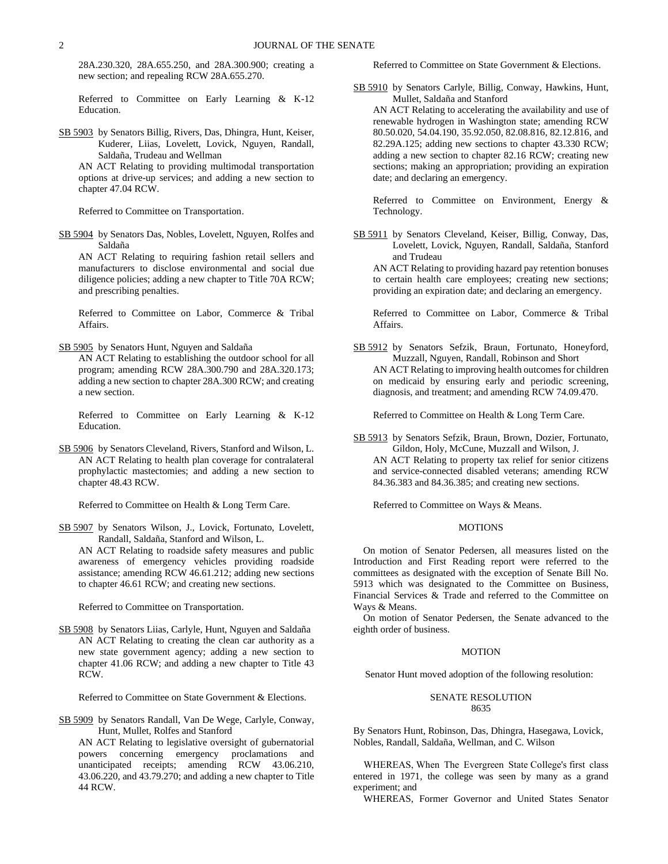28A.230.320, 28A.655.250, and 28A.300.900; creating a new section; and repealing RCW 28A.655.270.

Referred to Committee on Early Learning & K-12 Education.

SB 5903 by Senators Billig, Rivers, Das, Dhingra, Hunt, Keiser, Kuderer, Liias, Lovelett, Lovick, Nguyen, Randall, Saldaña, Trudeau and Wellman

AN ACT Relating to providing multimodal transportation options at drive-up services; and adding a new section to chapter 47.04 RCW.

Referred to Committee on Transportation.

SB 5904 by Senators Das, Nobles, Lovelett, Nguyen, Rolfes and Saldaña

AN ACT Relating to requiring fashion retail sellers and manufacturers to disclose environmental and social due diligence policies; adding a new chapter to Title 70A RCW; and prescribing penalties.

Referred to Committee on Labor, Commerce & Tribal Affairs.

SB 5905 by Senators Hunt, Nguyen and Saldaña

AN ACT Relating to establishing the outdoor school for all program; amending RCW 28A.300.790 and 28A.320.173; adding a new section to chapter 28A.300 RCW; and creating a new section.

Referred to Committee on Early Learning & K-12 Education.

SB 5906 by Senators Cleveland, Rivers, Stanford and Wilson, L. AN ACT Relating to health plan coverage for contralateral prophylactic mastectomies; and adding a new section to chapter 48.43 RCW.

Referred to Committee on Health & Long Term Care.

SB 5907 by Senators Wilson, J., Lovick, Fortunato, Lovelett, Randall, Saldaña, Stanford and Wilson, L.

AN ACT Relating to roadside safety measures and public awareness of emergency vehicles providing roadside assistance; amending RCW 46.61.212; adding new sections to chapter 46.61 RCW; and creating new sections.

Referred to Committee on Transportation.

SB 5908 by Senators Liias, Carlyle, Hunt, Nguyen and Saldaña AN ACT Relating to creating the clean car authority as a new state government agency; adding a new section to chapter 41.06 RCW; and adding a new chapter to Title 43 RCW.

Referred to Committee on State Government & Elections.

SB 5909 by Senators Randall, Van De Wege, Carlyle, Conway, Hunt, Mullet, Rolfes and Stanford

AN ACT Relating to legislative oversight of gubernatorial powers concerning emergency proclamations and unanticipated receipts; amending RCW 43.06.210, 43.06.220, and 43.79.270; and adding a new chapter to Title 44 RCW.

Referred to Committee on State Government & Elections.

SB 5910 by Senators Carlyle, Billig, Conway, Hawkins, Hunt, Mullet, Saldaña and Stanford

AN ACT Relating to accelerating the availability and use of renewable hydrogen in Washington state; amending RCW 80.50.020, 54.04.190, 35.92.050, 82.08.816, 82.12.816, and 82.29A.125; adding new sections to chapter 43.330 RCW; adding a new section to chapter 82.16 RCW; creating new sections; making an appropriation; providing an expiration date; and declaring an emergency.

Referred to Committee on Environment, Energy & Technology.

SB 5911 by Senators Cleveland, Keiser, Billig, Conway, Das, Lovelett, Lovick, Nguyen, Randall, Saldaña, Stanford and Trudeau

AN ACT Relating to providing hazard pay retention bonuses to certain health care employees; creating new sections; providing an expiration date; and declaring an emergency.

Referred to Committee on Labor, Commerce & Tribal Affairs.

SB 5912 by Senators Sefzik, Braun, Fortunato, Honeyford, Muzzall, Nguyen, Randall, Robinson and Short AN ACT Relating to improving health outcomes for children on medicaid by ensuring early and periodic screening, diagnosis, and treatment; and amending RCW 74.09.470.

Referred to Committee on Health & Long Term Care.

SB 5913 by Senators Sefzik, Braun, Brown, Dozier, Fortunato, Gildon, Holy, McCune, Muzzall and Wilson, J. AN ACT Relating to property tax relief for senior citizens and service-connected disabled veterans; amending RCW 84.36.383 and 84.36.385; and creating new sections.

Referred to Committee on Ways & Means.

# MOTIONS

On motion of Senator Pedersen, all measures listed on the Introduction and First Reading report were referred to the committees as designated with the exception of Senate Bill No. 5913 which was designated to the Committee on Business, Financial Services & Trade and referred to the Committee on Ways & Means.

On motion of Senator Pedersen, the Senate advanced to the eighth order of business.

#### MOTION

Senator Hunt moved adoption of the following resolution:

# SENATE RESOLUTION 8635

By Senators Hunt, Robinson, Das, Dhingra, Hasegawa, Lovick, Nobles, Randall, Saldaña, Wellman, and C. Wilson

WHEREAS, When  The  Evergreen  State College's first  class entered in 1971, the college was seen by many as a grand experiment; and

WHEREAS, Former Governor and United States Senator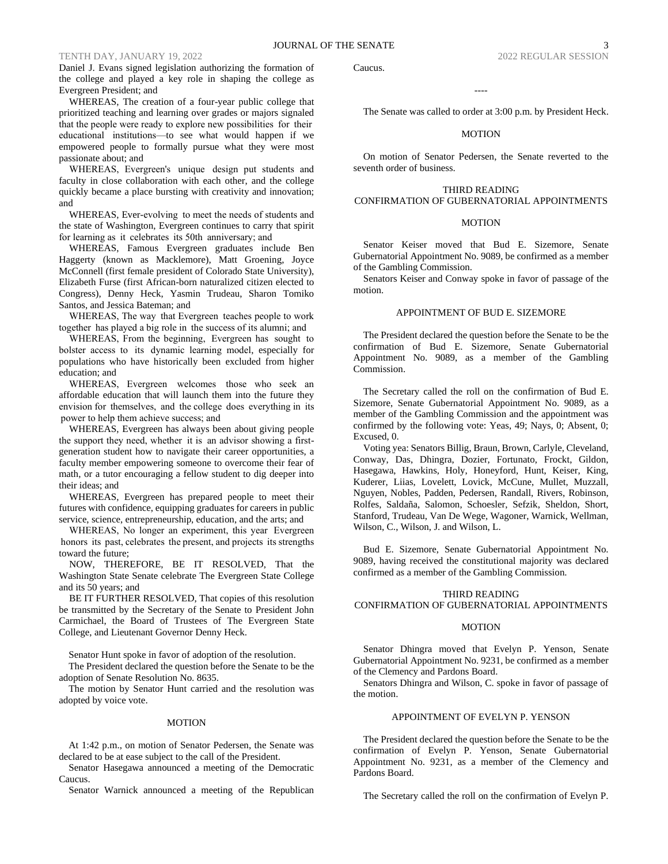Daniel J. Evans signed legislation authorizing the formation of the college and played a key role in shaping the college as Evergreen President; and

WHEREAS, The creation of a four-year public college that prioritized teaching and learning over grades or majors signaled that the people were ready to explore new possibilities  for  their  educational  institutions—to see what would happen if we empowered people to formally pursue what they were most passionate about; and

WHEREAS, Evergreen's  unique  design put students and faculty in close collaboration with each other, and the college quickly became a place bursting with creativity and innovation; and

WHEREAS, Ever-evolving  to meet the needs of students and the state of Washington, Evergreen continues to carry that spirit for learning as  it  celebrates  its 50th  anniversary; and

WHEREAS, Famous Evergreen graduates include Ben Haggerty (known as Macklemore), Matt Groening, Joyce McConnell (first female president of Colorado State University), Elizabeth Furse (first African-born naturalized citizen elected to Congress), Denny Heck, Yasmin Trudeau, Sharon Tomiko Santos, and Jessica Bateman; and

WHEREAS, The way  that Evergreen  teaches people to work together  has played a big role in  the success of its alumni; and

WHEREAS, From the beginning,  Evergreen has  sought  to bolster access to  its  dynamic learning model, especially for populations who have historically been excluded from higher education; and

WHEREAS, Evergreen  welcomes  those who seek an affordable education that will launch them into the future they envision for  themselves,  and  the college  does  everything in  its  power to help them achieve success; and

WHEREAS, Evergreen has always been about giving people the support they need, whether  it is  an advisor showing a firstgeneration student how to navigate their career opportunities, a faculty member empowering someone to overcome their fear of math, or a tutor encouraging a fellow student to dig deeper into their ideas; and

WHEREAS, Evergreen has prepared people to meet their futures with confidence, equipping graduates for careers in public service, science, entrepreneurship, education, and the arts; and

WHEREAS, No longer an experiment, this year Evergreen  honors  its  past, celebrates  the present, and projects  its strengths toward the future;

NOW, THEREFORE, BE IT RESOLVED, That the Washington State Senate celebrate The Evergreen State College and its 50 years; and

BE IT FURTHER RESOLVED, That copies of this resolution be transmitted by the Secretary of the Senate to President John Carmichael, the Board of Trustees of The Evergreen State College, and Lieutenant Governor Denny Heck.

Senator Hunt spoke in favor of adoption of the resolution.

The President declared the question before the Senate to be the adoption of Senate Resolution No. 8635.

The motion by Senator Hunt carried and the resolution was adopted by voice vote.

#### MOTION

At 1:42 p.m., on motion of Senator Pedersen, the Senate was declared to be at ease subject to the call of the President.

Senator Hasegawa announced a meeting of the Democratic Caucus.

Senator Warnick announced a meeting of the Republican

Caucus.

The Senate was called to order at 3:00 p.m. by President Heck.

----

# MOTION

On motion of Senator Pedersen, the Senate reverted to the seventh order of business.

# THIRD READING

# CONFIRMATION OF GUBERNATORIAL APPOINTMENTS

# **MOTION**

Senator Keiser moved that Bud E. Sizemore, Senate Gubernatorial Appointment No. 9089, be confirmed as a member of the Gambling Commission.

Senators Keiser and Conway spoke in favor of passage of the motion.

# APPOINTMENT OF BUD E. SIZEMORE

The President declared the question before the Senate to be the confirmation of Bud E. Sizemore, Senate Gubernatorial Appointment No. 9089, as a member of the Gambling Commission.

The Secretary called the roll on the confirmation of Bud E. Sizemore, Senate Gubernatorial Appointment No. 9089, as a member of the Gambling Commission and the appointment was confirmed by the following vote: Yeas, 49; Nays, 0; Absent, 0; Excused, 0.

Voting yea: Senators Billig, Braun, Brown, Carlyle, Cleveland, Conway, Das, Dhingra, Dozier, Fortunato, Frockt, Gildon, Hasegawa, Hawkins, Holy, Honeyford, Hunt, Keiser, King, Kuderer, Liias, Lovelett, Lovick, McCune, Mullet, Muzzall, Nguyen, Nobles, Padden, Pedersen, Randall, Rivers, Robinson, Rolfes, Saldaña, Salomon, Schoesler, Sefzik, Sheldon, Short, Stanford, Trudeau, Van De Wege, Wagoner, Warnick, Wellman, Wilson, C., Wilson, J. and Wilson, L.

Bud E. Sizemore, Senate Gubernatorial Appointment No. 9089, having received the constitutional majority was declared confirmed as a member of the Gambling Commission.

# THIRD READING CONFIRMATION OF GUBERNATORIAL APPOINTMENTS

#### MOTION

Senator Dhingra moved that Evelyn P. Yenson, Senate Gubernatorial Appointment No. 9231, be confirmed as a member of the Clemency and Pardons Board.

Senators Dhingra and Wilson, C. spoke in favor of passage of the motion.

#### APPOINTMENT OF EVELYN P. YENSON

The President declared the question before the Senate to be the confirmation of Evelyn P. Yenson, Senate Gubernatorial Appointment No. 9231, as a member of the Clemency and Pardons Board.

The Secretary called the roll on the confirmation of Evelyn P.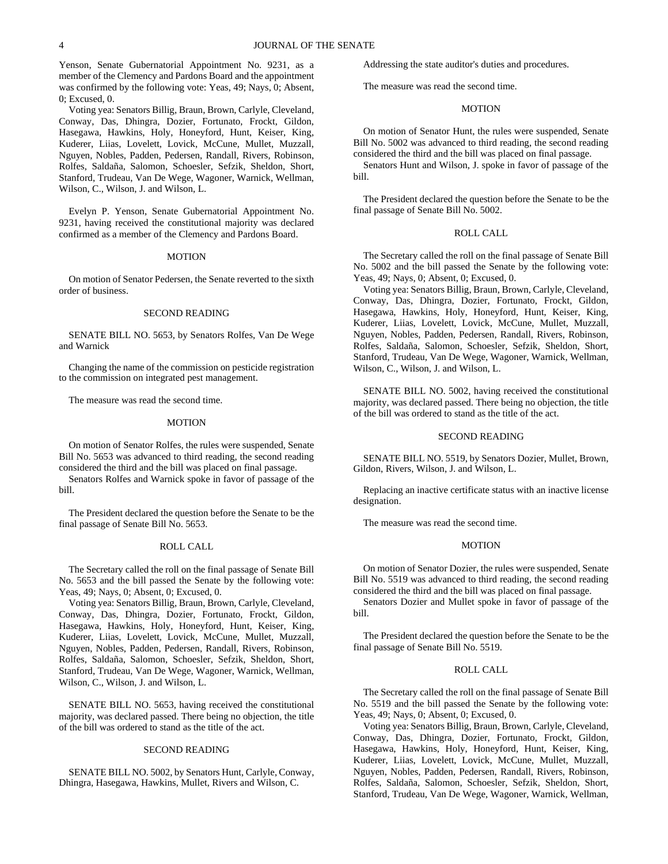Yenson, Senate Gubernatorial Appointment No. 9231, as a member of the Clemency and Pardons Board and the appointment was confirmed by the following vote: Yeas, 49; Nays, 0; Absent, 0; Excused, 0.

Voting yea: Senators Billig, Braun, Brown, Carlyle, Cleveland, Conway, Das, Dhingra, Dozier, Fortunato, Frockt, Gildon, Hasegawa, Hawkins, Holy, Honeyford, Hunt, Keiser, King, Kuderer, Liias, Lovelett, Lovick, McCune, Mullet, Muzzall, Nguyen, Nobles, Padden, Pedersen, Randall, Rivers, Robinson, Rolfes, Saldaña, Salomon, Schoesler, Sefzik, Sheldon, Short, Stanford, Trudeau, Van De Wege, Wagoner, Warnick, Wellman, Wilson, C., Wilson, J. and Wilson, L.

Evelyn P. Yenson, Senate Gubernatorial Appointment No. 9231, having received the constitutional majority was declared confirmed as a member of the Clemency and Pardons Board.

#### MOTION

On motion of Senator Pedersen, the Senate reverted to the sixth order of business.

#### SECOND READING

SENATE BILL NO. 5653, by Senators Rolfes, Van De Wege and Warnick

Changing the name of the commission on pesticide registration to the commission on integrated pest management.

The measure was read the second time.

#### MOTION

On motion of Senator Rolfes, the rules were suspended, Senate Bill No. 5653 was advanced to third reading, the second reading considered the third and the bill was placed on final passage.

Senators Rolfes and Warnick spoke in favor of passage of the bill.

The President declared the question before the Senate to be the final passage of Senate Bill No. 5653.

### ROLL CALL

The Secretary called the roll on the final passage of Senate Bill No. 5653 and the bill passed the Senate by the following vote: Yeas, 49; Nays, 0; Absent, 0; Excused, 0.

Voting yea: Senators Billig, Braun, Brown, Carlyle, Cleveland, Conway, Das, Dhingra, Dozier, Fortunato, Frockt, Gildon, Hasegawa, Hawkins, Holy, Honeyford, Hunt, Keiser, King, Kuderer, Liias, Lovelett, Lovick, McCune, Mullet, Muzzall, Nguyen, Nobles, Padden, Pedersen, Randall, Rivers, Robinson, Rolfes, Saldaña, Salomon, Schoesler, Sefzik, Sheldon, Short, Stanford, Trudeau, Van De Wege, Wagoner, Warnick, Wellman, Wilson, C., Wilson, J. and Wilson, L.

SENATE BILL NO. 5653, having received the constitutional majority, was declared passed. There being no objection, the title of the bill was ordered to stand as the title of the act.

# SECOND READING

SENATE BILL NO. 5002, by Senators Hunt, Carlyle, Conway, Dhingra, Hasegawa, Hawkins, Mullet, Rivers and Wilson, C.

Addressing the state auditor's duties and procedures.

The measure was read the second time.

# **MOTION**

On motion of Senator Hunt, the rules were suspended, Senate Bill No. 5002 was advanced to third reading, the second reading considered the third and the bill was placed on final passage.

Senators Hunt and Wilson, J. spoke in favor of passage of the bill.

The President declared the question before the Senate to be the final passage of Senate Bill No. 5002.

# ROLL CALL

The Secretary called the roll on the final passage of Senate Bill No. 5002 and the bill passed the Senate by the following vote: Yeas, 49; Nays, 0; Absent, 0; Excused, 0.

Voting yea: Senators Billig, Braun, Brown, Carlyle, Cleveland, Conway, Das, Dhingra, Dozier, Fortunato, Frockt, Gildon, Hasegawa, Hawkins, Holy, Honeyford, Hunt, Keiser, King, Kuderer, Liias, Lovelett, Lovick, McCune, Mullet, Muzzall, Nguyen, Nobles, Padden, Pedersen, Randall, Rivers, Robinson, Rolfes, Saldaña, Salomon, Schoesler, Sefzik, Sheldon, Short, Stanford, Trudeau, Van De Wege, Wagoner, Warnick, Wellman, Wilson, C., Wilson, J. and Wilson, L.

SENATE BILL NO. 5002, having received the constitutional majority, was declared passed. There being no objection, the title of the bill was ordered to stand as the title of the act.

# SECOND READING

SENATE BILL NO. 5519, by Senators Dozier, Mullet, Brown, Gildon, Rivers, Wilson, J. and Wilson, L.

Replacing an inactive certificate status with an inactive license designation.

The measure was read the second time.

# MOTION

On motion of Senator Dozier, the rules were suspended, Senate Bill No. 5519 was advanced to third reading, the second reading considered the third and the bill was placed on final passage.

Senators Dozier and Mullet spoke in favor of passage of the bill.

The President declared the question before the Senate to be the final passage of Senate Bill No. 5519.

#### ROLL CALL

The Secretary called the roll on the final passage of Senate Bill No. 5519 and the bill passed the Senate by the following vote: Yeas, 49; Nays, 0; Absent, 0; Excused, 0.

Voting yea: Senators Billig, Braun, Brown, Carlyle, Cleveland, Conway, Das, Dhingra, Dozier, Fortunato, Frockt, Gildon, Hasegawa, Hawkins, Holy, Honeyford, Hunt, Keiser, King, Kuderer, Liias, Lovelett, Lovick, McCune, Mullet, Muzzall, Nguyen, Nobles, Padden, Pedersen, Randall, Rivers, Robinson, Rolfes, Saldaña, Salomon, Schoesler, Sefzik, Sheldon, Short, Stanford, Trudeau, Van De Wege, Wagoner, Warnick, Wellman,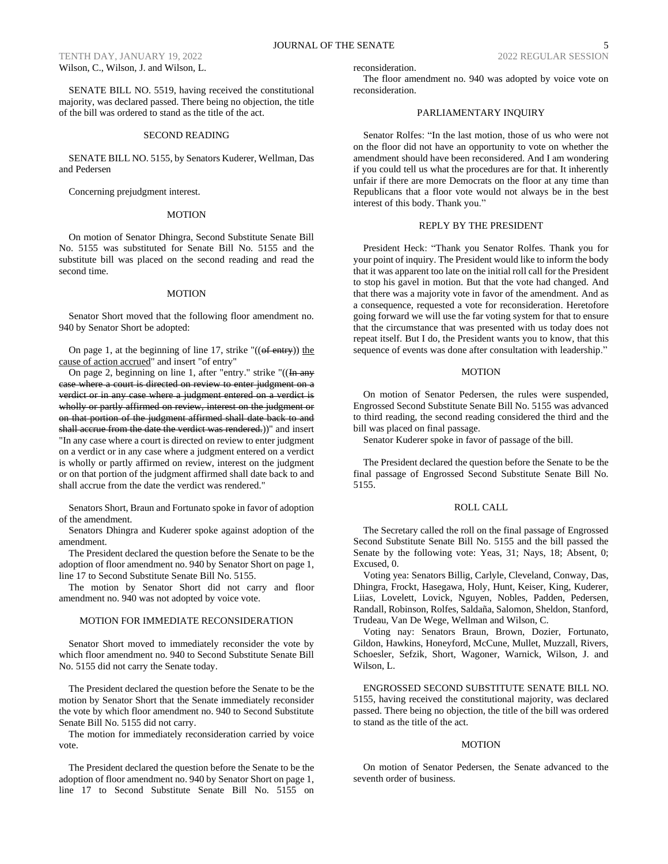SENATE BILL NO. 5519, having received the constitutional majority, was declared passed. There being no objection, the title of the bill was ordered to stand as the title of the act.

# SECOND READING

# SENATE BILL NO. 5155, by Senators Kuderer, Wellman, Das and Pedersen

Concerning prejudgment interest.

# MOTION

On motion of Senator Dhingra, Second Substitute Senate Bill No. 5155 was substituted for Senate Bill No. 5155 and the substitute bill was placed on the second reading and read the second time.

# MOTION

Senator Short moved that the following floor amendment no. 940 by Senator Short be adopted:

On page 1, at the beginning of line 17, strike " $((of entry))$  the cause of action accrued" and insert "of entry"

On page 2, beginning on line 1, after "entry." strike " $((\text{In any})$ case where a court is directed on review to enter judgment on a verdict or in any case where a judgment entered on a verdict is wholly or partly affirmed on review, interest on the judgment or on that portion of the judgment affirmed shall date back to and shall accrue from the date the verdict was rendered.))" and insert "In any case where a court is directed on review to enter judgment on a verdict or in any case where a judgment entered on a verdict is wholly or partly affirmed on review, interest on the judgment or on that portion of the judgment affirmed shall date back to and shall accrue from the date the verdict was rendered."

Senators Short, Braun and Fortunato spoke in favor of adoption of the amendment.

Senators Dhingra and Kuderer spoke against adoption of the amendment.

The President declared the question before the Senate to be the adoption of floor amendment no. 940 by Senator Short on page 1, line 17 to Second Substitute Senate Bill No. 5155.

The motion by Senator Short did not carry and floor amendment no. 940 was not adopted by voice vote.

# MOTION FOR IMMEDIATE RECONSIDERATION

Senator Short moved to immediately reconsider the vote by which floor amendment no. 940 to Second Substitute Senate Bill No. 5155 did not carry the Senate today.

The President declared the question before the Senate to be the motion by Senator Short that the Senate immediately reconsider the vote by which floor amendment no. 940 to Second Substitute Senate Bill No. 5155 did not carry.

The motion for immediately reconsideration carried by voice vote.

The President declared the question before the Senate to be the adoption of floor amendment no. 940 by Senator Short on page 1, line 17 to Second Substitute Senate Bill No. 5155 on reconsideration.

The floor amendment no. 940 was adopted by voice vote on reconsideration.

# PARLIAMENTARY INQUIRY

Senator Rolfes: "In the last motion, those of us who were not on the floor did not have an opportunity to vote on whether the amendment should have been reconsidered. And I am wondering if you could tell us what the procedures are for that. It inherently unfair if there are more Democrats on the floor at any time than Republicans that a floor vote would not always be in the best interest of this body. Thank you."

# REPLY BY THE PRESIDENT

President Heck: "Thank you Senator Rolfes. Thank you for your point of inquiry. The President would like to inform the body that it was apparent too late on the initial roll call for the President to stop his gavel in motion. But that the vote had changed. And that there was a majority vote in favor of the amendment. And as a consequence, requested a vote for reconsideration. Heretofore going forward we will use the far voting system for that to ensure that the circumstance that was presented with us today does not repeat itself. But I do, the President wants you to know, that this sequence of events was done after consultation with leadership."

# MOTION

On motion of Senator Pedersen, the rules were suspended, Engrossed Second Substitute Senate Bill No. 5155 was advanced to third reading, the second reading considered the third and the bill was placed on final passage.

Senator Kuderer spoke in favor of passage of the bill.

The President declared the question before the Senate to be the final passage of Engrossed Second Substitute Senate Bill No. 5155.

#### ROLL CALL

The Secretary called the roll on the final passage of Engrossed Second Substitute Senate Bill No. 5155 and the bill passed the Senate by the following vote: Yeas, 31; Nays, 18; Absent, 0; Excused, 0.

Voting yea: Senators Billig, Carlyle, Cleveland, Conway, Das, Dhingra, Frockt, Hasegawa, Holy, Hunt, Keiser, King, Kuderer, Liias, Lovelett, Lovick, Nguyen, Nobles, Padden, Pedersen, Randall, Robinson, Rolfes, Saldaña, Salomon, Sheldon, Stanford, Trudeau, Van De Wege, Wellman and Wilson, C.

Voting nay: Senators Braun, Brown, Dozier, Fortunato, Gildon, Hawkins, Honeyford, McCune, Mullet, Muzzall, Rivers, Schoesler, Sefzik, Short, Wagoner, Warnick, Wilson, J. and Wilson, L.

ENGROSSED SECOND SUBSTITUTE SENATE BILL NO. 5155, having received the constitutional majority, was declared passed. There being no objection, the title of the bill was ordered to stand as the title of the act.

# **MOTION**

On motion of Senator Pedersen, the Senate advanced to the seventh order of business.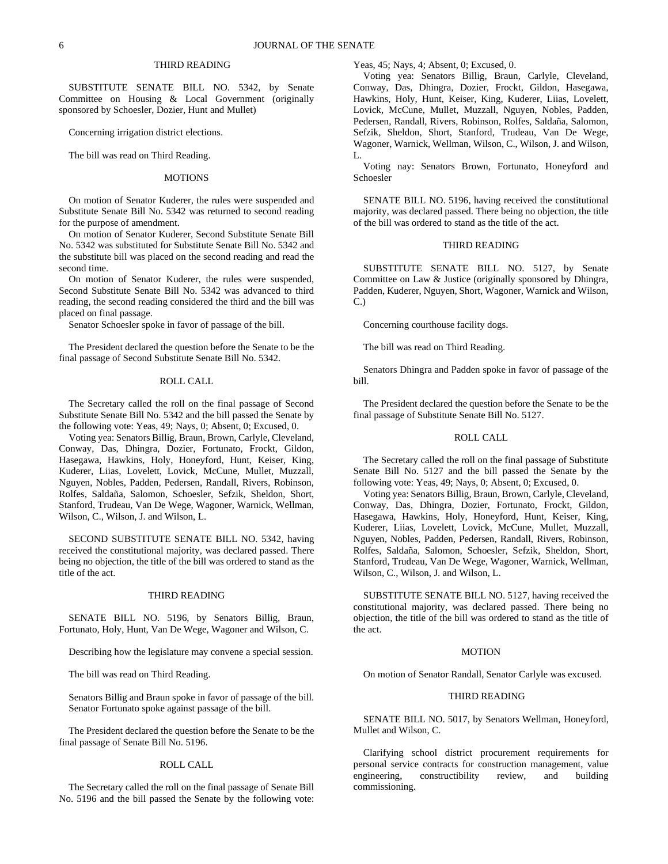# THIRD READING

SUBSTITUTE SENATE BILL NO. 5342, by Senate Committee on Housing & Local Government (originally sponsored by Schoesler, Dozier, Hunt and Mullet)

Concerning irrigation district elections.

The bill was read on Third Reading.

#### MOTIONS

On motion of Senator Kuderer, the rules were suspended and Substitute Senate Bill No. 5342 was returned to second reading for the purpose of amendment.

On motion of Senator Kuderer, Second Substitute Senate Bill No. 5342 was substituted for Substitute Senate Bill No. 5342 and the substitute bill was placed on the second reading and read the second time.

On motion of Senator Kuderer, the rules were suspended, Second Substitute Senate Bill No. 5342 was advanced to third reading, the second reading considered the third and the bill was placed on final passage.

Senator Schoesler spoke in favor of passage of the bill.

The President declared the question before the Senate to be the final passage of Second Substitute Senate Bill No. 5342.

#### ROLL CALL

The Secretary called the roll on the final passage of Second Substitute Senate Bill No. 5342 and the bill passed the Senate by the following vote: Yeas, 49; Nays, 0; Absent, 0; Excused, 0.

Voting yea: Senators Billig, Braun, Brown, Carlyle, Cleveland, Conway, Das, Dhingra, Dozier, Fortunato, Frockt, Gildon, Hasegawa, Hawkins, Holy, Honeyford, Hunt, Keiser, King, Kuderer, Liias, Lovelett, Lovick, McCune, Mullet, Muzzall, Nguyen, Nobles, Padden, Pedersen, Randall, Rivers, Robinson, Rolfes, Saldaña, Salomon, Schoesler, Sefzik, Sheldon, Short, Stanford, Trudeau, Van De Wege, Wagoner, Warnick, Wellman, Wilson, C., Wilson, J. and Wilson, L.

SECOND SUBSTITUTE SENATE BILL NO. 5342, having received the constitutional majority, was declared passed. There being no objection, the title of the bill was ordered to stand as the title of the act.

# THIRD READING

SENATE BILL NO. 5196, by Senators Billig, Braun, Fortunato, Holy, Hunt, Van De Wege, Wagoner and Wilson, C.

Describing how the legislature may convene a special session.

The bill was read on Third Reading.

Senators Billig and Braun spoke in favor of passage of the bill. Senator Fortunato spoke against passage of the bill.

The President declared the question before the Senate to be the final passage of Senate Bill No. 5196.

#### ROLL CALL

The Secretary called the roll on the final passage of Senate Bill No. 5196 and the bill passed the Senate by the following vote: Yeas, 45; Nays, 4; Absent, 0; Excused, 0.

Voting yea: Senators Billig, Braun, Carlyle, Cleveland, Conway, Das, Dhingra, Dozier, Frockt, Gildon, Hasegawa, Hawkins, Holy, Hunt, Keiser, King, Kuderer, Liias, Lovelett, Lovick, McCune, Mullet, Muzzall, Nguyen, Nobles, Padden, Pedersen, Randall, Rivers, Robinson, Rolfes, Saldaña, Salomon, Sefzik, Sheldon, Short, Stanford, Trudeau, Van De Wege, Wagoner, Warnick, Wellman, Wilson, C., Wilson, J. and Wilson, L.

Voting nay: Senators Brown, Fortunato, Honeyford and Schoesler

SENATE BILL NO. 5196, having received the constitutional majority, was declared passed. There being no objection, the title of the bill was ordered to stand as the title of the act.

# THIRD READING

SUBSTITUTE SENATE BILL NO. 5127, by Senate Committee on Law & Justice (originally sponsored by Dhingra, Padden, Kuderer, Nguyen, Short, Wagoner, Warnick and Wilson, C.)

Concerning courthouse facility dogs.

The bill was read on Third Reading.

Senators Dhingra and Padden spoke in favor of passage of the bill.

The President declared the question before the Senate to be the final passage of Substitute Senate Bill No. 5127.

# ROLL CALL

The Secretary called the roll on the final passage of Substitute Senate Bill No. 5127 and the bill passed the Senate by the following vote: Yeas, 49; Nays, 0; Absent, 0; Excused, 0.

Voting yea: Senators Billig, Braun, Brown, Carlyle, Cleveland, Conway, Das, Dhingra, Dozier, Fortunato, Frockt, Gildon, Hasegawa, Hawkins, Holy, Honeyford, Hunt, Keiser, King, Kuderer, Liias, Lovelett, Lovick, McCune, Mullet, Muzzall, Nguyen, Nobles, Padden, Pedersen, Randall, Rivers, Robinson, Rolfes, Saldaña, Salomon, Schoesler, Sefzik, Sheldon, Short, Stanford, Trudeau, Van De Wege, Wagoner, Warnick, Wellman, Wilson, C., Wilson, J. and Wilson, L.

SUBSTITUTE SENATE BILL NO. 5127, having received the constitutional majority, was declared passed. There being no objection, the title of the bill was ordered to stand as the title of the act.

# MOTION

On motion of Senator Randall, Senator Carlyle was excused.

# THIRD READING

SENATE BILL NO. 5017, by Senators Wellman, Honeyford, Mullet and Wilson, C.

Clarifying school district procurement requirements for personal service contracts for construction management, value engineering, constructibility review, and building commissioning.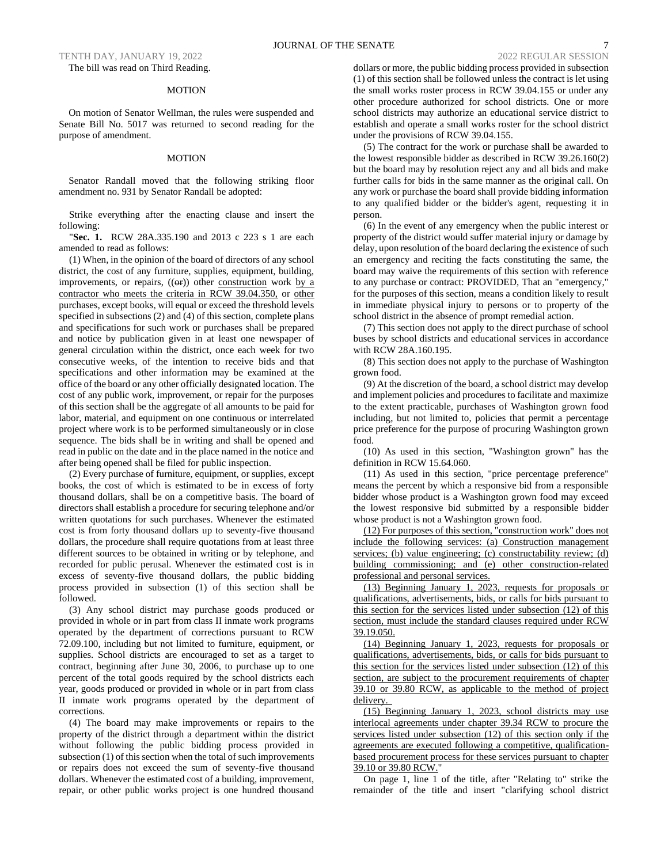TENTH DAY, JANUARY 19, 2022 2022 REGULAR SESSION The bill was read on Third Reading.

# MOTION

On motion of Senator Wellman, the rules were suspended and Senate Bill No. 5017 was returned to second reading for the purpose of amendment.

#### MOTION

Senator Randall moved that the following striking floor amendment no. 931 by Senator Randall be adopted:

Strike everything after the enacting clause and insert the following:

"**Sec. 1.** RCW 28A.335.190 and 2013 c 223 s 1 are each amended to read as follows:

(1) When, in the opinion of the board of directors of any school district, the cost of any furniture, supplies, equipment, building, improvements, or repairs,  $((\Theta F))$  other construction work by a contractor who meets the criteria in RCW 39.04.350, or other purchases, except books, will equal or exceed the threshold levels specified in subsections (2) and (4) of this section, complete plans and specifications for such work or purchases shall be prepared and notice by publication given in at least one newspaper of general circulation within the district, once each week for two consecutive weeks, of the intention to receive bids and that specifications and other information may be examined at the office of the board or any other officially designated location. The cost of any public work, improvement, or repair for the purposes of this section shall be the aggregate of all amounts to be paid for labor, material, and equipment on one continuous or interrelated project where work is to be performed simultaneously or in close sequence. The bids shall be in writing and shall be opened and read in public on the date and in the place named in the notice and after being opened shall be filed for public inspection.

(2) Every purchase of furniture, equipment, or supplies, except books, the cost of which is estimated to be in excess of forty thousand dollars, shall be on a competitive basis. The board of directors shall establish a procedure for securing telephone and/or written quotations for such purchases. Whenever the estimated cost is from forty thousand dollars up to seventy-five thousand dollars, the procedure shall require quotations from at least three different sources to be obtained in writing or by telephone, and recorded for public perusal. Whenever the estimated cost is in excess of seventy-five thousand dollars, the public bidding process provided in subsection (1) of this section shall be followed.

(3) Any school district may purchase goods produced or provided in whole or in part from class II inmate work programs operated by the department of corrections pursuant to RCW 72.09.100, including but not limited to furniture, equipment, or supplies. School districts are encouraged to set as a target to contract, beginning after June 30, 2006, to purchase up to one percent of the total goods required by the school districts each year, goods produced or provided in whole or in part from class II inmate work programs operated by the department of corrections.

(4) The board may make improvements or repairs to the property of the district through a department within the district without following the public bidding process provided in subsection (1) of this section when the total of such improvements or repairs does not exceed the sum of seventy-five thousand dollars. Whenever the estimated cost of a building, improvement, repair, or other public works project is one hundred thousand

dollars or more, the public bidding process provided in subsection (1) of this section shall be followed unless the contract is let using the small works roster process in RCW 39.04.155 or under any other procedure authorized for school districts. One or more school districts may authorize an educational service district to establish and operate a small works roster for the school district under the provisions of RCW 39.04.155.

(5) The contract for the work or purchase shall be awarded to the lowest responsible bidder as described in RCW 39.26.160(2) but the board may by resolution reject any and all bids and make further calls for bids in the same manner as the original call. On any work or purchase the board shall provide bidding information to any qualified bidder or the bidder's agent, requesting it in person.

(6) In the event of any emergency when the public interest or property of the district would suffer material injury or damage by delay, upon resolution of the board declaring the existence of such an emergency and reciting the facts constituting the same, the board may waive the requirements of this section with reference to any purchase or contract: PROVIDED, That an "emergency," for the purposes of this section, means a condition likely to result in immediate physical injury to persons or to property of the school district in the absence of prompt remedial action.

(7) This section does not apply to the direct purchase of school buses by school districts and educational services in accordance with RCW 28A.160.195.

(8) This section does not apply to the purchase of Washington grown food.

(9) At the discretion of the board, a school district may develop and implement policies and procedures to facilitate and maximize to the extent practicable, purchases of Washington grown food including, but not limited to, policies that permit a percentage price preference for the purpose of procuring Washington grown food.

(10) As used in this section, "Washington grown" has the definition in RCW 15.64.060.

(11) As used in this section, "price percentage preference" means the percent by which a responsive bid from a responsible bidder whose product is a Washington grown food may exceed the lowest responsive bid submitted by a responsible bidder whose product is not a Washington grown food.

(12) For purposes of this section, "construction work" does not include the following services: (a) Construction management services; (b) value engineering; (c) constructability review; (d) building commissioning; and (e) other construction-related professional and personal services.

(13) Beginning January 1, 2023, requests for proposals or qualifications, advertisements, bids, or calls for bids pursuant to this section for the services listed under subsection (12) of this section, must include the standard clauses required under RCW 39.19.050.

(14) Beginning January 1, 2023, requests for proposals or qualifications, advertisements, bids, or calls for bids pursuant to this section for the services listed under subsection (12) of this section, are subject to the procurement requirements of chapter 39.10 or 39.80 RCW, as applicable to the method of project delivery.

(15) Beginning January 1, 2023, school districts may use interlocal agreements under chapter 39.34 RCW to procure the services listed under subsection (12) of this section only if the agreements are executed following a competitive, qualificationbased procurement process for these services pursuant to chapter 39.10 or 39.80 RCW."

On page 1, line 1 of the title, after "Relating to" strike the remainder of the title and insert "clarifying school district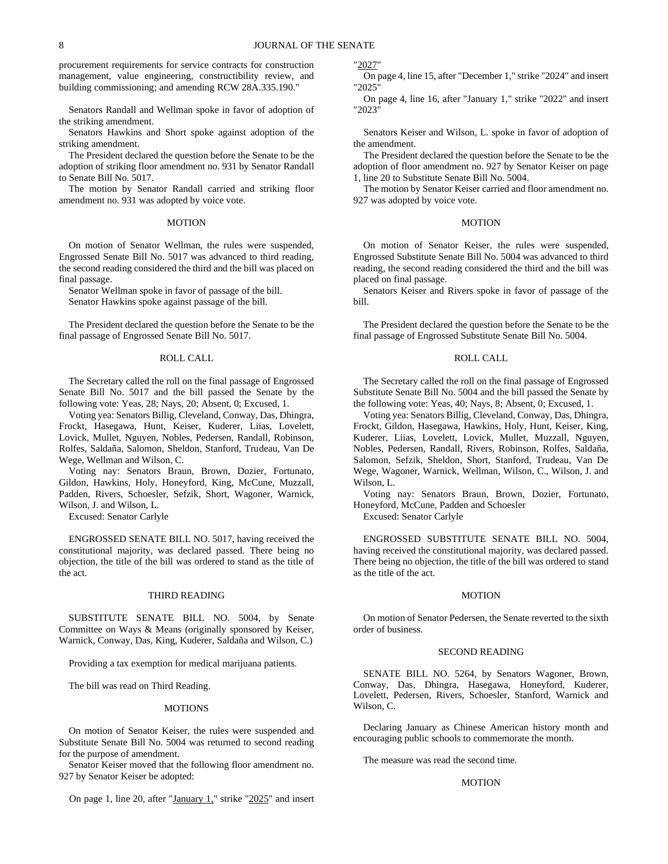procurement requirements for service contracts for construction management, value engineering, constructibility review, and building commissioning; and amending RCW 28A.335.190."

Senators Randall and Wellman spoke in favor of adoption of the striking amendment.

Senators Hawkins and Short spoke against adoption of the striking amendment.

The President declared the question before the Senate to be the adoption of striking floor amendment no. 931 by Senator Randall to Senate Bill No. 5017.

The motion by Senator Randall carried and striking floor amendment no. 931 was adopted by voice vote.

# MOTION

On motion of Senator Wellman, the rules were suspended, Engrossed Senate Bill No. 5017 was advanced to third reading, the second reading considered the third and the bill was placed on final passage.

Senator Wellman spoke in favor of passage of the bill. Senator Hawkins spoke against passage of the bill.

The President declared the question before the Senate to be the final passage of Engrossed Senate Bill No. 5017.

# ROLL CALL

The Secretary called the roll on the final passage of Engrossed Senate Bill No. 5017 and the bill passed the Senate by the following vote: Yeas, 28; Nays, 20; Absent, 0; Excused, 1.

Voting yea: Senators Billig, Cleveland, Conway, Das, Dhingra, Frockt, Hasegawa, Hunt, Keiser, Kuderer, Liias, Lovelett, Lovick, Mullet, Nguyen, Nobles, Pedersen, Randall, Robinson, Rolfes, Saldaña, Salomon, Sheldon, Stanford, Trudeau, Van De Wege, Wellman and Wilson, C.

Voting nay: Senators Braun, Brown, Dozier, Fortunato, Gildon, Hawkins, Holy, Honeyford, King, McCune, Muzzall, Padden, Rivers, Schoesler, Sefzik, Short, Wagoner, Warnick, Wilson, J. and Wilson, L.

Excused: Senator Carlyle

ENGROSSED SENATE BILL NO. 5017, having received the constitutional majority, was declared passed. There being no objection, the title of the bill was ordered to stand as the title of the act.

#### THIRD READING

SUBSTITUTE SENATE BILL NO. 5004, by Senate Committee on Ways & Means (originally sponsored by Keiser, Warnick, Conway, Das, King, Kuderer, Saldaña and Wilson, C.)

Providing a tax exemption for medical marijuana patients.

The bill was read on Third Reading.

#### MOTIONS

On motion of Senator Keiser, the rules were suspended and Substitute Senate Bill No. 5004 was returned to second reading for the purpose of amendment.

Senator Keiser moved that the following floor amendment no. 927 by Senator Keiser be adopted:

On page 1, line 20, after "January 1," strike "2025" and insert

"2027"

On page 4, line 15, after "December 1," strike "2024" and insert "2025"

On page 4, line 16, after "January 1," strike "2022" and insert "2023"

Senators Keiser and Wilson, L. spoke in favor of adoption of the amendment.

The President declared the question before the Senate to be the adoption of floor amendment no. 927 by Senator Keiser on page 1, line 20 to Substitute Senate Bill No. 5004.

The motion by Senator Keiser carried and floor amendment no. 927 was adopted by voice vote.

#### MOTION

On motion of Senator Keiser, the rules were suspended, Engrossed Substitute Senate Bill No. 5004 was advanced to third reading, the second reading considered the third and the bill was placed on final passage.

Senators Keiser and Rivers spoke in favor of passage of the bill.

The President declared the question before the Senate to be the final passage of Engrossed Substitute Senate Bill No. 5004.

# ROLL CALL

The Secretary called the roll on the final passage of Engrossed Substitute Senate Bill No. 5004 and the bill passed the Senate by the following vote: Yeas, 40; Nays, 8; Absent, 0; Excused, 1.

Voting yea: Senators Billig, Cleveland, Conway, Das, Dhingra, Frockt, Gildon, Hasegawa, Hawkins, Holy, Hunt, Keiser, King, Kuderer, Liias, Lovelett, Lovick, Mullet, Muzzall, Nguyen, Nobles, Pedersen, Randall, Rivers, Robinson, Rolfes, Saldaña, Salomon, Sefzik, Sheldon, Short, Stanford, Trudeau, Van De Wege, Wagoner, Warnick, Wellman, Wilson, C., Wilson, J. and Wilson, L.

Voting nay: Senators Braun, Brown, Dozier, Fortunato, Honeyford, McCune, Padden and Schoesler

Excused: Senator Carlyle

ENGROSSED SUBSTITUTE SENATE BILL NO. 5004, having received the constitutional majority, was declared passed. There being no objection, the title of the bill was ordered to stand as the title of the act.

#### MOTION

On motion of Senator Pedersen, the Senate reverted to the sixth order of business.

#### SECOND READING

SENATE BILL NO. 5264, by Senators Wagoner, Brown, Conway, Das, Dhingra, Hasegawa, Honeyford, Kuderer, Lovelett, Pedersen, Rivers, Schoesler, Stanford, Warnick and Wilson, C.

Declaring January as Chinese American history month and encouraging public schools to commemorate the month.

The measure was read the second time.

#### MOTION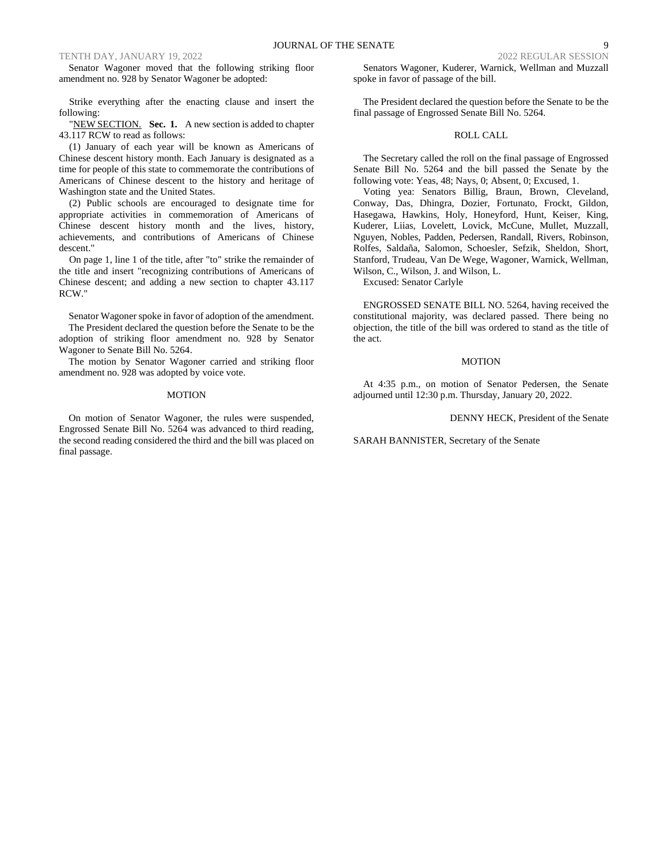Senator Wagoner moved that the following striking floor amendment no. 928 by Senator Wagoner be adopted:

Strike everything after the enacting clause and insert the following:

"NEW SECTION. Sec. 1. A new section is added to chapter 43.117 RCW to read as follows:

(1) January of each year will be known as Americans of Chinese descent history month. Each January is designated as a time for people of this state to commemorate the contributions of Americans of Chinese descent to the history and heritage of Washington state and the United States.

(2) Public schools are encouraged to designate time for appropriate activities in commemoration of Americans of Chinese descent history month and the lives, history, achievements, and contributions of Americans of Chinese descent."

On page 1, line 1 of the title, after "to" strike the remainder of the title and insert "recognizing contributions of Americans of Chinese descent; and adding a new section to chapter 43.117 RCW."

Senator Wagoner spoke in favor of adoption of the amendment. The President declared the question before the Senate to be the adoption of striking floor amendment no. 928 by Senator Wagoner to Senate Bill No. 5264.

The motion by Senator Wagoner carried and striking floor amendment no. 928 was adopted by voice vote.

#### MOTION

On motion of Senator Wagoner, the rules were suspended, Engrossed Senate Bill No. 5264 was advanced to third reading, the second reading considered the third and the bill was placed on final passage.

Senators Wagoner, Kuderer, Warnick, Wellman and Muzzall spoke in favor of passage of the bill.

The President declared the question before the Senate to be the final passage of Engrossed Senate Bill No. 5264.

#### ROLL CALL

The Secretary called the roll on the final passage of Engrossed Senate Bill No. 5264 and the bill passed the Senate by the following vote: Yeas, 48; Nays, 0; Absent, 0; Excused, 1.

Voting yea: Senators Billig, Braun, Brown, Cleveland, Conway, Das, Dhingra, Dozier, Fortunato, Frockt, Gildon, Hasegawa, Hawkins, Holy, Honeyford, Hunt, Keiser, King, Kuderer, Liias, Lovelett, Lovick, McCune, Mullet, Muzzall, Nguyen, Nobles, Padden, Pedersen, Randall, Rivers, Robinson, Rolfes, Saldaña, Salomon, Schoesler, Sefzik, Sheldon, Short, Stanford, Trudeau, Van De Wege, Wagoner, Warnick, Wellman, Wilson, C., Wilson, J. and Wilson, L.

Excused: Senator Carlyle

ENGROSSED SENATE BILL NO. 5264, having received the constitutional majority, was declared passed. There being no objection, the title of the bill was ordered to stand as the title of the act.

# MOTION

At 4:35 p.m., on motion of Senator Pedersen, the Senate adjourned until 12:30 p.m. Thursday, January 20, 2022.

DENNY HECK, President of the Senate

SARAH BANNISTER, Secretary of the Senate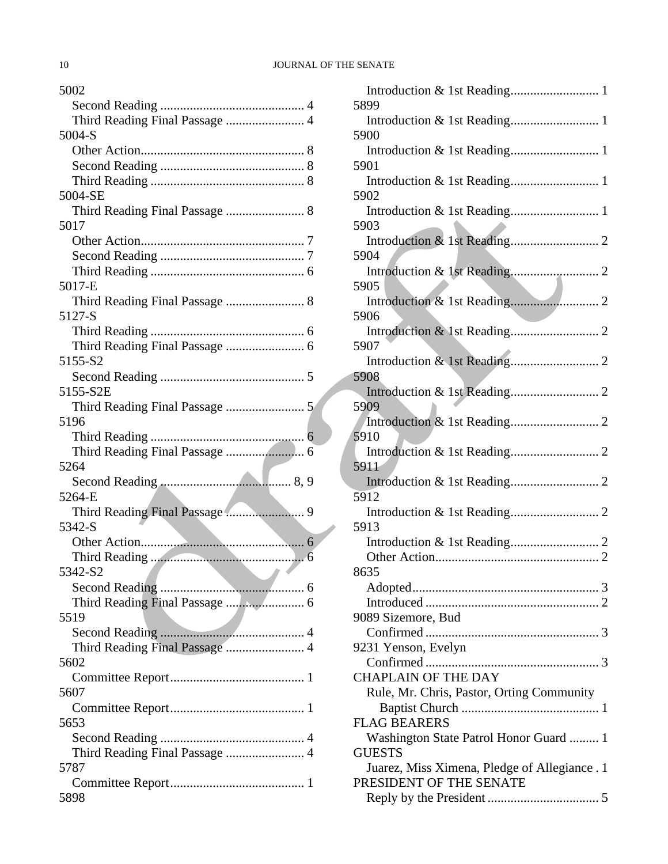| 5002                                         |
|----------------------------------------------|
|                                              |
| Third Reading Final Passage  4               |
| 5004-S                                       |
|                                              |
|                                              |
|                                              |
| 5004-SE                                      |
|                                              |
| 5017                                         |
|                                              |
|                                              |
|                                              |
| 5017-E                                       |
|                                              |
| 5127-S                                       |
|                                              |
|                                              |
| 5155-S2                                      |
|                                              |
| 5155-S2E                                     |
|                                              |
|                                              |
| 5196                                         |
|                                              |
|                                              |
|                                              |
| 5264                                         |
|                                              |
| 5264-E                                       |
| Third Reading Final Passage  9               |
| 5342-S                                       |
|                                              |
|                                              |
| 5342-S2<br><b>Contract Contract Contract</b> |
|                                              |
|                                              |
| 5519                                         |
|                                              |
| Third Reading Final Passage  4               |
| 5602                                         |
|                                              |
| 5607                                         |
|                                              |
| 5653                                         |
|                                              |
| Third Reading Final Passage  4               |
| 5787                                         |
|                                              |

| 5899                                             |  |
|--------------------------------------------------|--|
| 5900                                             |  |
|                                                  |  |
| 5901<br>Introduction & 1st Reading 1             |  |
| 5902                                             |  |
| 5903                                             |  |
|                                                  |  |
| 5904                                             |  |
| 5905                                             |  |
|                                                  |  |
| 5906                                             |  |
| 5907                                             |  |
|                                                  |  |
| 5908                                             |  |
| 5909                                             |  |
| 5910                                             |  |
|                                                  |  |
| 5911                                             |  |
| 5912                                             |  |
|                                                  |  |
| 5913                                             |  |
|                                                  |  |
| 8635                                             |  |
|                                                  |  |
| 9089 Sizemore, Bud                               |  |
|                                                  |  |
| 9231 Yenson, Evelyn                              |  |
| <b>CHAPLAIN OF THE DAY</b>                       |  |
| Rule, Mr. Chris, Pastor, Orting Community        |  |
|                                                  |  |
| <b>FLAG BEARERS</b>                              |  |
| Washington State Patrol Honor Guard  1<br>GUESTS |  |
| Juarez, Miss Ximena, Pledge of Allegiance. 1     |  |
| PRESIDENT OF THE SENATE                          |  |
|                                                  |  |